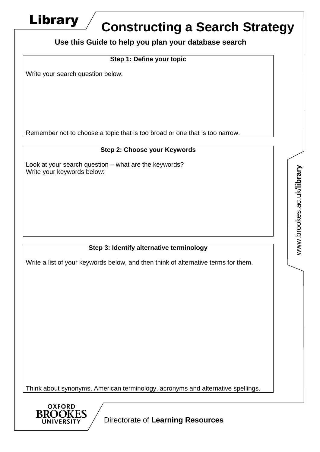

# **Constructing a Search Strategy**

**Use this Guide to help you plan your database search**

## **Step 1: Define your topic**

Write your search question below:

Remember not to choose a topic that is too broad or one that is too narrow.

## **Step 2: Choose your Keywords**

Look at your search question – what are the keywords? Write your keywords below:

## **Step 3: Identify alternative terminology**

Write a list of your keywords below, and then think of alternative terms for them.

Think about synonyms, American terminology, acronyms and alternative spellings.



Directorate of **Learning Resources**